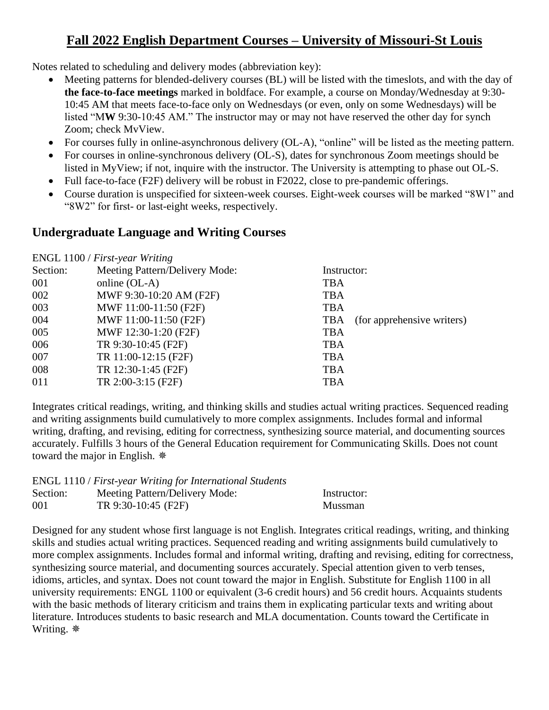# **Fall 2022 English Department Courses – University of Missouri-St Louis**

Notes related to scheduling and delivery modes (abbreviation key):

- Meeting patterns for blended-delivery courses (BL) will be listed with the timeslots, and with the day of **the face-to-face meetings** marked in boldface. For example, a course on Monday/Wednesday at 9:30- 10:45 AM that meets face-to-face only on Wednesdays (or even, only on some Wednesdays) will be listed "M**W** 9:30-10:45 AM." The instructor may or may not have reserved the other day for synch Zoom; check MvView.
- For courses fully in online-asynchronous delivery (OL-A), "online" will be listed as the meeting pattern.
- For courses in online-synchronous delivery (OL-S), dates for synchronous Zoom meetings should be listed in MyView; if not, inquire with the instructor. The University is attempting to phase out OL-S.
- Full face-to-face (F2F) delivery will be robust in F2022, close to pre-pandemic offerings.
- Course duration is unspecified for sixteen-week courses. Eight-week courses will be marked "8W1" and "8W2" for first- or last-eight weeks, respectively.

# **Undergraduate Language and Writing Courses**

ENGL 1100 / *First-year Writing* Section: Meeting Pattern/Delivery Mode: Instructor: 001 online (OL-A) TBA 002 MWF 9:30-10:20 AM (F2F) TBA 003 MWF 11:00-11:50 (F2F) TBA 004 MWF 11:00-11:50 (F2F) TBA (for apprehensive writers) 005 MWF 12:30-1:20 (F2F) TBA 006 TR 9:30-10:45 (F2F) TBA 007 TR 11:00-12:15 (F2F) TBA 008 TR 12:30-1:45 (F2F) TBA 011 TR 2:00-3:15 (F2F) TBA

Integrates critical readings, writing, and thinking skills and studies actual writing practices. Sequenced reading and writing assignments build cumulatively to more complex assignments. Includes formal and informal writing, drafting, and revising, editing for correctness, synthesizing source material, and documenting sources accurately. Fulfills 3 hours of the General Education requirement for Communicating Skills. Does not count toward the major in English.

ENGL 1110 / *First-year Writing for International Students*

| Section: | Meeting Pattern/Delivery Mode: | Instructor: |
|----------|--------------------------------|-------------|
| 001      | TR 9:30-10:45 (F2F)            | Mussman     |

Designed for any student whose first language is not English. Integrates critical readings, writing, and thinking skills and studies actual writing practices. Sequenced reading and writing assignments build cumulatively to more complex assignments. Includes formal and informal writing, drafting and revising, editing for correctness, synthesizing source material, and documenting sources accurately. Special attention given to verb tenses, idioms, articles, and syntax. Does not count toward the major in English. Substitute for English 1100 in all university requirements: ENGL 1100 or equivalent (3-6 credit hours) and 56 credit hours. Acquaints students with the basic methods of literary criticism and trains them in explicating particular texts and writing about literature. Introduces students to basic research and MLA documentation. Counts toward the Certificate in Writing.  $*$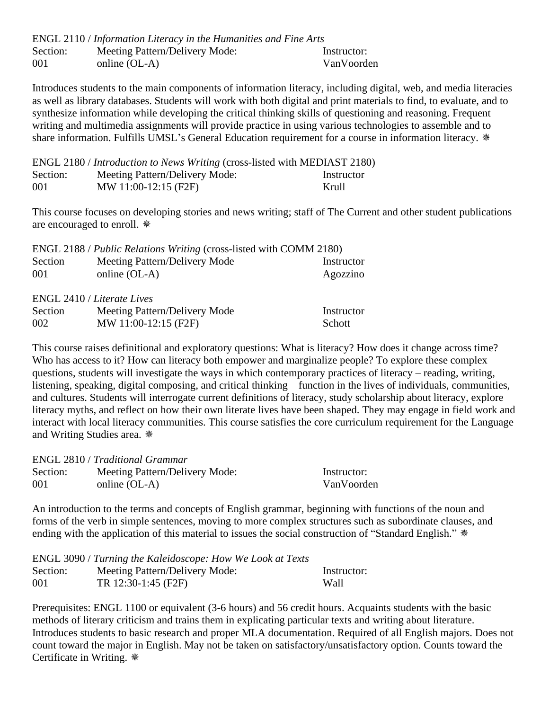|          | ENGL 2110 / Information Literacy in the Humanities and Fine Arts |             |
|----------|------------------------------------------------------------------|-------------|
| Section: | Meeting Pattern/Delivery Mode:                                   | Instructor: |
| 001      | online $(OL-A)$                                                  | VanVoorden  |

Introduces students to the main components of information literacy, including digital, web, and media literacies as well as library databases. Students will work with both digital and print materials to find, to evaluate, and to synthesize information while developing the critical thinking skills of questioning and reasoning. Frequent writing and multimedia assignments will provide practice in using various technologies to assemble and to share information. Fulfills UMSL's General Education requirement for a course in information literacy.  $*$ 

|          | ENGL 2180 / Introduction to News Writing (cross-listed with MEDIAST 2180) |            |
|----------|---------------------------------------------------------------------------|------------|
| Section: | Meeting Pattern/Delivery Mode:                                            | Instructor |
| 001      | MW 11:00-12:15 (F2F)                                                      | Krull      |

This course focuses on developing stories and news writing; staff of The Current and other student publications are encouraged to enroll.

| ENGL 2188 / Public Relations Writing (cross-listed with COMM 2180) |                               |            |  |
|--------------------------------------------------------------------|-------------------------------|------------|--|
| Section                                                            | Meeting Pattern/Delivery Mode | Instructor |  |
| 001                                                                | online $(OL-A)$               | Agozzino   |  |
|                                                                    |                               |            |  |

ENGL 2410 / *Literate Lives*

| Section | Meeting Pattern/Delivery Mode | Instructor    |
|---------|-------------------------------|---------------|
| 002     | MW 11:00-12:15 (F2F)          | <b>Schott</b> |

This course raises definitional and exploratory questions: What is literacy? How does it change across time? Who has access to it? How can literacy both empower and marginalize people? To explore these complex questions, students will investigate the ways in which contemporary practices of literacy – reading, writing, listening, speaking, digital composing, and critical thinking – function in the lives of individuals, communities, and cultures. Students will interrogate current definitions of literacy, study scholarship about literacy, explore literacy myths, and reflect on how their own literate lives have been shaped. They may engage in field work and interact with local literacy communities. This course satisfies the core curriculum requirement for the Language and Writing Studies area.

| <b>ENGL 2810 / Traditional Grammar</b> |                                |             |  |
|----------------------------------------|--------------------------------|-------------|--|
| Section:                               | Meeting Pattern/Delivery Mode: | Instructor: |  |
| 001                                    | online $(OL-A)$                | VanVoorden  |  |

An introduction to the terms and concepts of English grammar, beginning with functions of the noun and forms of the verb in simple sentences, moving to more complex structures such as subordinate clauses, and ending with the application of this material to issues the social construction of "Standard English."  $*$ 

|          | ENGL 3090 / Turning the Kaleidoscope: How We Look at Texts |             |
|----------|------------------------------------------------------------|-------------|
| Section: | Meeting Pattern/Delivery Mode:                             | Instructor: |
| 001      | TR 12:30-1:45 (F2F)                                        | Wall        |

Prerequisites: ENGL 1100 or equivalent (3-6 hours) and 56 credit hours. Acquaints students with the basic methods of literary criticism and trains them in explicating particular texts and writing about literature. Introduces students to basic research and proper MLA documentation. Required of all English majors. Does not count toward the major in English. May not be taken on satisfactory/unsatisfactory option. Counts toward the Certificate in Writing.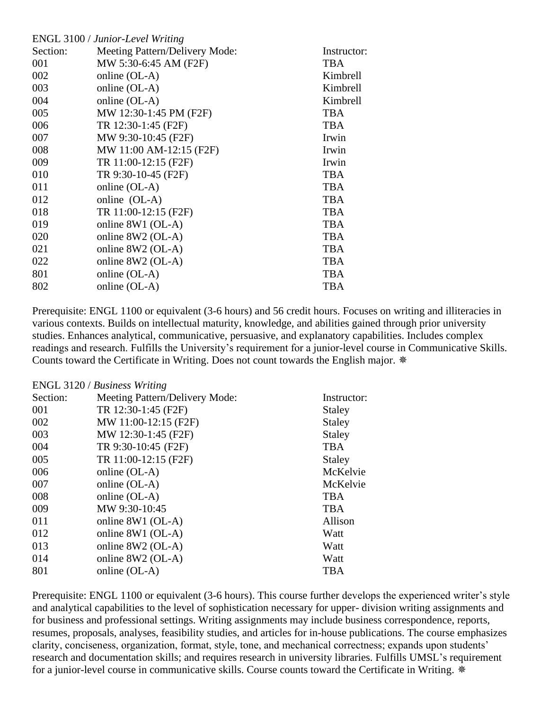| ENGL 3100 / Junior-Level Writing |             |
|----------------------------------|-------------|
| Meeting Pattern/Delivery Mode:   | Instructor: |
| MW 5:30-6:45 AM (F2F)            | <b>TBA</b>  |
| online (OL-A)                    | Kimbrell    |
| online (OL-A)                    | Kimbrell    |
| online (OL-A)                    | Kimbrell    |
| MW 12:30-1:45 PM (F2F)           | <b>TBA</b>  |
| TR 12:30-1:45 (F2F)              | <b>TBA</b>  |
| MW 9:30-10:45 (F2F)              | Irwin       |
| MW 11:00 AM-12:15 (F2F)          | Irwin       |
| TR 11:00-12:15 (F2F)             | Irwin       |
| TR 9:30-10-45 (F2F)              | <b>TBA</b>  |
| online (OL-A)                    | <b>TBA</b>  |
| online (OL-A)                    | <b>TBA</b>  |
| TR 11:00-12:15 (F2F)             | <b>TBA</b>  |
| online 8W1 (OL-A)                | <b>TBA</b>  |
| online 8W2 (OL-A)                | <b>TBA</b>  |
| online $8W2$ (OL-A)              | <b>TBA</b>  |
| online 8W2 (OL-A)                | <b>TBA</b>  |
| online (OL-A)                    | <b>TBA</b>  |
| online (OL-A)                    | <b>TBA</b>  |
|                                  |             |

Prerequisite: ENGL 1100 or equivalent (3-6 hours) and 56 credit hours. Focuses on writing and illiteracies in various contexts. Builds on intellectual maturity, knowledge, and abilities gained through prior university studies. Enhances analytical, communicative, persuasive, and explanatory capabilities. Includes complex readings and research. Fulfills the University's requirement for a junior-level course in Communicative Skills. Counts toward the Certificate in Writing. Does not count towards the English major.

|          | ENGL 3120 / Business Writing   |               |
|----------|--------------------------------|---------------|
| Section: | Meeting Pattern/Delivery Mode: | Instructor:   |
| 001      | TR 12:30-1:45 (F2F)            | <b>Staley</b> |
| 002      | MW 11:00-12:15 (F2F)           | <b>Staley</b> |
| 003      | MW 12:30-1:45 (F2F)            | <b>Staley</b> |
| 004      | TR 9:30-10:45 (F2F)            | <b>TBA</b>    |
| 005      | TR 11:00-12:15 (F2F)           | <b>Staley</b> |
| 006      | online (OL-A)                  | McKelvie      |
| 007      | online (OL-A)                  | McKelvie      |
| 008      | online (OL-A)                  | <b>TBA</b>    |
| 009      | MW 9:30-10:45                  | <b>TBA</b>    |
| 011      | online 8W1 (OL-A)              | Allison       |
| 012      | online 8W1 (OL-A)              | Watt          |
| 013      | online 8W2 (OL-A)              | Watt          |
| 014      | online 8W2 (OL-A)              | Watt          |
| 801      | online (OL-A)                  | <b>TBA</b>    |

Prerequisite: ENGL 1100 or equivalent (3-6 hours). This course further develops the experienced writer's style and analytical capabilities to the level of sophistication necessary for upper- division writing assignments and for business and professional settings. Writing assignments may include business correspondence, reports, resumes, proposals, analyses, feasibility studies, and articles for in-house publications. The course emphasizes clarity, conciseness, organization, format, style, tone, and mechanical correctness; expands upon students' research and documentation skills; and requires research in university libraries. Fulfills UMSL's requirement for a junior-level course in communicative skills. Course counts toward the Certificate in Writing. \*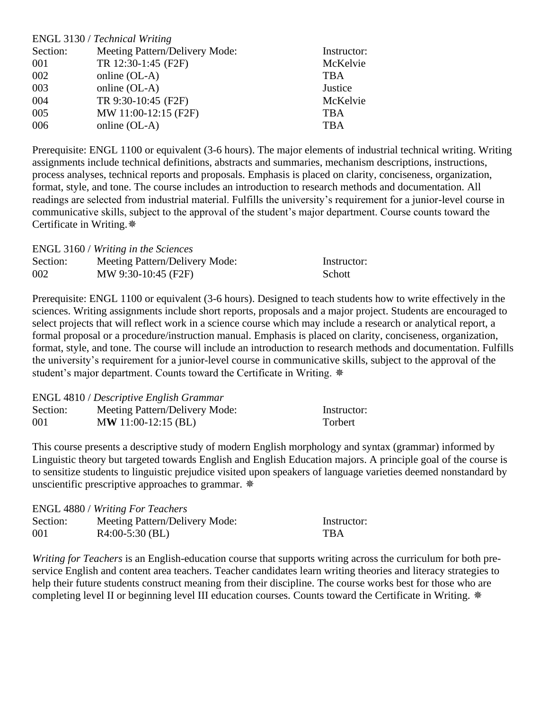|          | ENGL 3130 / Technical Writing  |             |
|----------|--------------------------------|-------------|
| Section: | Meeting Pattern/Delivery Mode: | Instructor: |
| 001      | TR 12:30-1:45 (F2F)            | McKelvie    |
| 002      | online (OL-A)                  | <b>TBA</b>  |
| 003      | online (OL-A)                  | Justice     |
| 004      | TR 9:30-10:45 (F2F)            | McKelvie    |
| 005      | MW 11:00-12:15 (F2F)           | <b>TBA</b>  |
| 006      | online (OL-A)                  | <b>TBA</b>  |

Prerequisite: ENGL 1100 or equivalent (3-6 hours). The major elements of industrial technical writing. Writing assignments include technical definitions, abstracts and summaries, mechanism descriptions, instructions, process analyses, technical reports and proposals. Emphasis is placed on clarity, conciseness, organization, format, style, and tone. The course includes an introduction to research methods and documentation. All readings are selected from industrial material. Fulfills the university's requirement for a junior-level course in communicative skills, subject to the approval of the student's major department. Course counts toward the Certificate in Writing.

|          | ENGL 3160 / Writing in the Sciences |               |
|----------|-------------------------------------|---------------|
| Section: | Meeting Pattern/Delivery Mode:      | Instructor:   |
| 002      | MW 9:30-10:45 (F2F)                 | <b>Schott</b> |

Prerequisite: ENGL 1100 or equivalent (3-6 hours). Designed to teach students how to write effectively in the sciences. Writing assignments include short reports, proposals and a major project. Students are encouraged to select projects that will reflect work in a science course which may include a research or analytical report, a formal proposal or a procedure/instruction manual. Emphasis is placed on clarity, conciseness, organization, format, style, and tone. The course will include an introduction to research methods and documentation. Fulfills the university's requirement for a junior-level course in communicative skills, subject to the approval of the student's major department. Counts toward the Certificate in Writing.

|          | <b>ENGL</b> 4810 / <i>Descriptive English Grammar</i> |             |
|----------|-------------------------------------------------------|-------------|
| Section: | Meeting Pattern/Delivery Mode:                        | Instructor: |
| 001      | $MW 11:00-12:15 (BL)$                                 | Torbert     |

This course presents a descriptive study of modern English morphology and syntax (grammar) informed by Linguistic theory but targeted towards English and English Education majors. A principle goal of the course is to sensitize students to linguistic prejudice visited upon speakers of language varieties deemed nonstandard by unscientific prescriptive approaches to grammar.

|          | <b>ENGL</b> 4880 / Writing For Teachers |             |
|----------|-----------------------------------------|-------------|
| Section: | Meeting Pattern/Delivery Mode:          | Instructor: |
| 001      | $R4:00-5:30$ (BL)                       | <b>TRA</b>  |

*Writing for Teachers* is an English-education course that supports writing across the curriculum for both preservice English and content area teachers. Teacher candidates learn writing theories and literacy strategies to help their future students construct meaning from their discipline. The course works best for those who are completing level II or beginning level III education courses. Counts toward the Certificate in Writing.  $*$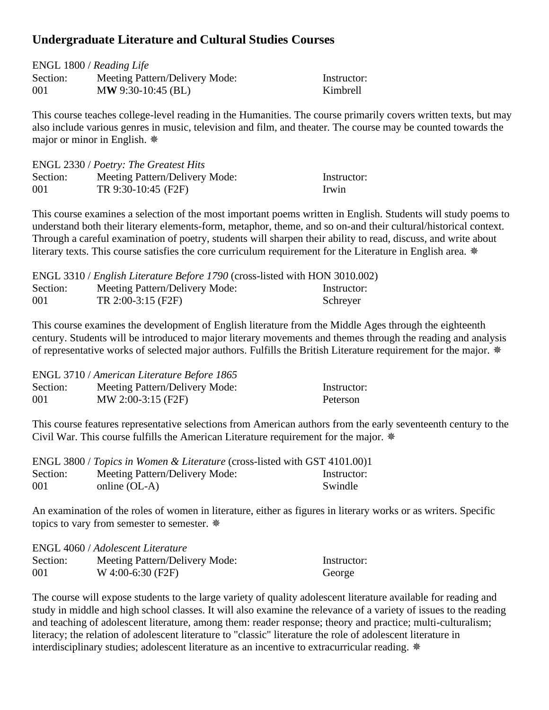### **Undergraduate Literature and Cultural Studies Courses**

| ENGL 1800 / Reading Life |                                |             |  |
|--------------------------|--------------------------------|-------------|--|
| Section:                 | Meeting Pattern/Delivery Mode: | Instructor: |  |
| 001                      | $MW$ 9:30-10:45 (BL)           | Kimbrell    |  |

This course teaches college-level reading in the Humanities. The course primarily covers written texts, but may also include various genres in music, television and film, and theater. The course may be counted towards the major or minor in English.

|          | ENGL 2330 / Poetry: The Greatest Hits |             |
|----------|---------------------------------------|-------------|
| Section: | Meeting Pattern/Delivery Mode:        | Instructor: |
| 001      | TR 9:30-10:45 (F2F)                   | Irwin       |

This course examines a selection of the most important poems written in English. Students will study poems to understand both their literary elements-form, metaphor, theme, and so on-and their cultural/historical context. Through a careful examination of poetry, students will sharpen their ability to read, discuss, and write about literary texts. This course satisfies the core curriculum requirement for the Literature in English area. \*

|          | ENGL 3310 / <i>English Literature Before 1790</i> (cross-listed with HON 3010.002) |             |
|----------|------------------------------------------------------------------------------------|-------------|
| Section: | Meeting Pattern/Delivery Mode:                                                     | Instructor: |
| 001      | TR $2:00-3:15$ (F2F)                                                               | Schreyer    |

This course examines the development of English literature from the Middle Ages through the eighteenth century. Students will be introduced to major literary movements and themes through the reading and analysis of representative works of selected major authors. Fulfills the British Literature requirement for the major.

|          | ENGL 3710 / American Literature Before 1865 |             |
|----------|---------------------------------------------|-------------|
| Section: | Meeting Pattern/Delivery Mode:              | Instructor: |
| 001      | MW 2:00-3:15 (F2F)                          | Peterson    |

This course features representative selections from American authors from the early seventeenth century to the Civil War. This course fulfills the American Literature requirement for the major.

|          | ENGL 3800 / Topics in Women & Literature (cross-listed with GST 4101.00)1 |             |
|----------|---------------------------------------------------------------------------|-------------|
| Section: | Meeting Pattern/Delivery Mode:                                            | Instructor: |
| 001      | online (OL-A)                                                             | Swindle     |

An examination of the roles of women in literature, either as figures in literary works or as writers. Specific topics to vary from semester to semester.  $*$ 

|          | ENGL 4060 / Adolescent Literature |             |
|----------|-----------------------------------|-------------|
| Section: | Meeting Pattern/Delivery Mode:    | Instructor: |
| 001      | $W$ 4:00-6:30 (F2F)               | George      |

The course will expose students to the large variety of quality adolescent literature available for reading and study in middle and high school classes. It will also examine the relevance of a variety of issues to the reading and teaching of adolescent literature, among them: reader response; theory and practice; multi-culturalism; literacy; the relation of adolescent literature to "classic" literature the role of adolescent literature in interdisciplinary studies; adolescent literature as an incentive to extracurricular reading.  $*$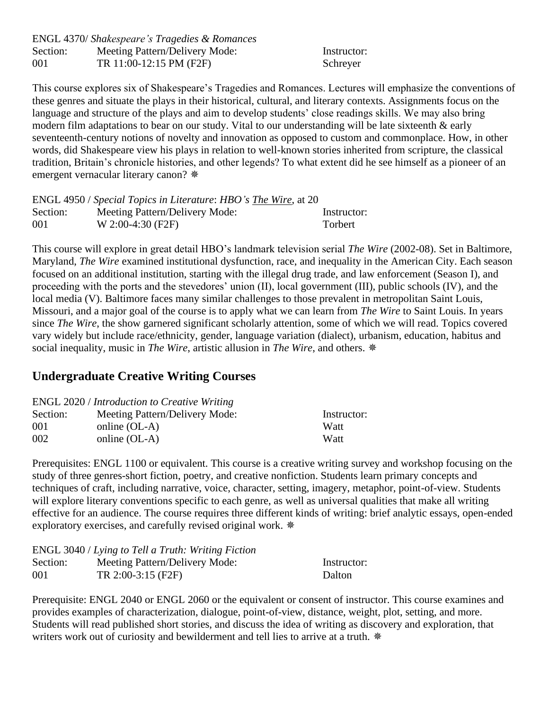|          | ENGL 4370/ Shakespeare's Tragedies & Romances |             |
|----------|-----------------------------------------------|-------------|
| Section: | Meeting Pattern/Delivery Mode:                | Instructor: |
| 001      | TR 11:00-12:15 PM (F2F)                       | Schreyer    |

This course explores six of Shakespeare's Tragedies and Romances. Lectures will emphasize the conventions of these genres and situate the plays in their historical, cultural, and literary contexts. Assignments focus on the language and structure of the plays and aim to develop students' close readings skills. We may also bring modern film adaptations to bear on our study. Vital to our understanding will be late sixteenth & early seventeenth-century notions of novelty and innovation as opposed to custom and commonplace. How, in other words, did Shakespeare view his plays in relation to well-known stories inherited from scripture, the classical tradition, Britain's chronicle histories, and other legends? To what extent did he see himself as a pioneer of an emergent vernacular literary canon?  $*$ 

|          | ENGL 4950 / Special Topics in Literature: HBO's The Wire, at 20 |             |
|----------|-----------------------------------------------------------------|-------------|
| Section: | Meeting Pattern/Delivery Mode:                                  | Instructor: |
| 001      | $W 2:00-4:30$ (F2F)                                             | Torbert     |

This course will explore in great detail HBO's landmark television serial *The Wire* (2002-08). Set in Baltimore, Maryland, *The Wire* examined institutional dysfunction, race, and inequality in the American City. Each season focused on an additional institution, starting with the illegal drug trade, and law enforcement (Season I), and proceeding with the ports and the stevedores' union (II), local government (III), public schools (IV), and the local media (V). Baltimore faces many similar challenges to those prevalent in metropolitan Saint Louis, Missouri, and a major goal of the course is to apply what we can learn from *The Wire* to Saint Louis. In years since *The Wire*, the show garnered significant scholarly attention, some of which we will read. Topics covered vary widely but include race/ethnicity, gender, language variation (dialect), urbanism, education, habitus and social inequality, music in *The Wire*, artistic allusion in *The Wire*, and others.

## **Undergraduate Creative Writing Courses**

| <b>ENGL</b> 2020 / <i>Introduction to Creative Writing</i> |                                |             |  |
|------------------------------------------------------------|--------------------------------|-------------|--|
| Section:                                                   | Meeting Pattern/Delivery Mode: | Instructor: |  |
| 001                                                        | online $(OL-A)$                | Watt        |  |
| 002                                                        | online $(OL-A)$                | Watt        |  |

Prerequisites: ENGL 1100 or equivalent. This course is a creative writing survey and workshop focusing on the study of three genres-short fiction, poetry, and creative nonfiction. Students learn primary concepts and techniques of craft, including narrative, voice, character, setting, imagery, metaphor, point-of-view. Students will explore literary conventions specific to each genre, as well as universal qualities that make all writing effective for an audience. The course requires three different kinds of writing: brief analytic essays, open-ended exploratory exercises, and carefully revised original work.

|          | ENGL 3040 / Lying to Tell a Truth: Writing Fiction |             |
|----------|----------------------------------------------------|-------------|
| Section: | Meeting Pattern/Delivery Mode:                     | Instructor: |
| 001      | $TR 2:00-3:15$ (F2F)                               | Dalton      |

Prerequisite: ENGL 2040 or ENGL 2060 or the equivalent or consent of instructor. This course examines and provides examples of characterization, dialogue, point-of-view, distance, weight, plot, setting, and more. Students will read published short stories, and discuss the idea of writing as discovery and exploration, that writers work out of curiosity and bewilderment and tell lies to arrive at a truth.  $*$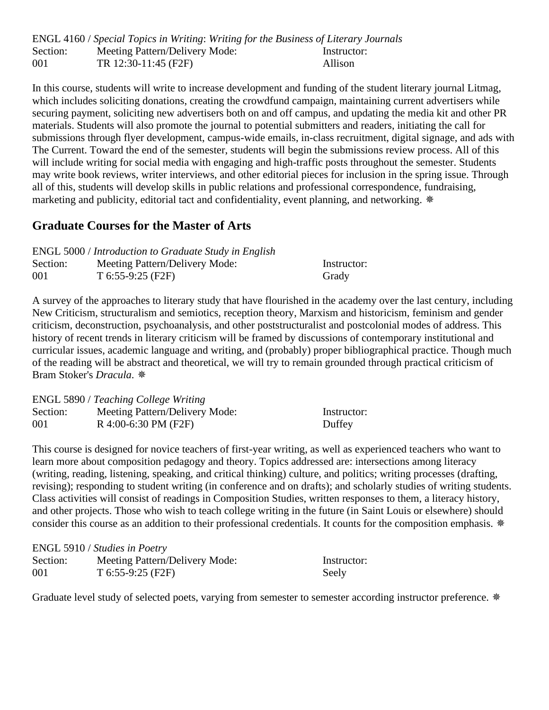ENGL 4160 / *Special Topics in Writing*: *Writing for the Business of Literary Journals* Section: Meeting Pattern/Delivery Mode: Instructor: 001 TR 12:30-11:45 (F2F) Allison

In this course, students will write to increase development and funding of the student literary journal Litmag, which includes soliciting donations, creating the crowdfund campaign, maintaining current advertisers while securing payment, soliciting new advertisers both on and off campus, and updating the media kit and other PR materials. Students will also promote the journal to potential submitters and readers, initiating the call for submissions through flyer development, campus-wide emails, in-class recruitment, digital signage, and ads with The Current. Toward the end of the semester, students will begin the submissions review process. All of this will include writing for social media with engaging and high-traffic posts throughout the semester. Students may write book reviews, writer interviews, and other editorial pieces for inclusion in the spring issue. Through all of this, students will develop skills in public relations and professional correspondence, fundraising, marketing and publicity, editorial tact and confidentiality, event planning, and networking.

#### **Graduate Courses for the Master of Arts**

|          | <b>ENGL 5000</b> / Introduction to Graduate Study in English |             |
|----------|--------------------------------------------------------------|-------------|
| Section: | Meeting Pattern/Delivery Mode:                               | Instructor: |
| 001      | $T_{6:55-9:25(F2F)}$                                         | Grady       |

A survey of the approaches to literary study that have flourished in the academy over the last century, including New Criticism, structuralism and semiotics, reception theory, Marxism and historicism, feminism and gender criticism, deconstruction, psychoanalysis, and other poststructuralist and postcolonial modes of address. This history of recent trends in literary criticism will be framed by discussions of contemporary institutional and curricular issues, academic language and writing, and (probably) proper bibliographical practice. Though much of the reading will be abstract and theoretical, we will try to remain grounded through practical criticism of Bram Stoker's *Dracula*.

|          | ENGL 5890 / Teaching College Writing |             |
|----------|--------------------------------------|-------------|
| Section: | Meeting Pattern/Delivery Mode:       | Instructor: |
| 001      | R 4:00-6:30 PM (F2F)                 | Duffey      |

This course is designed for novice teachers of first-year writing, as well as experienced teachers who want to learn more about composition pedagogy and theory. Topics addressed are: intersections among literacy (writing, reading, listening, speaking, and critical thinking) culture, and politics; writing processes (drafting, revising); responding to student writing (in conference and on drafts); and scholarly studies of writing students. Class activities will consist of readings in Composition Studies, written responses to them, a literacy history, and other projects. Those who wish to teach college writing in the future (in Saint Louis or elsewhere) should consider this course as an addition to their professional credentials. It counts for the composition emphasis. \*

|          | ENGL 5910 / Studies in Poetry  |             |
|----------|--------------------------------|-------------|
| Section: | Meeting Pattern/Delivery Mode: | Instructor: |
| 001      | $T$ 6:55-9:25 (F2F)            | Seely       |

Graduate level study of selected poets, varying from semester to semester according instructor preference.  $*$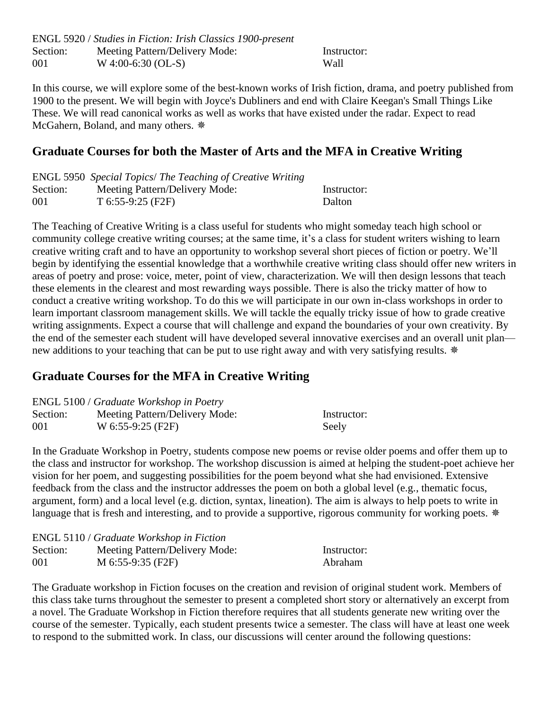ENGL 5920 / *Studies in Fiction: Irish Classics 1900-present* Section: Meeting Pattern/Delivery Mode: Instructor: 001 W 4:00-6:30 (OL-S) Wall

In this course, we will explore some of the best-known works of Irish fiction, drama, and poetry published from 1900 to the present. We will begin with Joyce's Dubliners and end with Claire Keegan's Small Things Like These. We will read canonical works as well as works that have existed under the radar. Expect to read McGahern, Boland, and many others.

### **Graduate Courses for both the Master of Arts and the MFA in Creative Writing**

|          | ENGL 5950 Special Topics/ The Teaching of Creative Writing |             |
|----------|------------------------------------------------------------|-------------|
| Section: | Meeting Pattern/Delivery Mode:                             | Instructor: |
| 001      | $T_{6:55-9:25(F2F)}$                                       | Dalton      |

The Teaching of Creative Writing is a class useful for students who might someday teach high school or community college creative writing courses; at the same time, it's a class for student writers wishing to learn creative writing craft and to have an opportunity to workshop several short pieces of fiction or poetry. We'll begin by identifying the essential knowledge that a worthwhile creative writing class should offer new writers in areas of poetry and prose: voice, meter, point of view, characterization. We will then design lessons that teach these elements in the clearest and most rewarding ways possible. There is also the tricky matter of how to conduct a creative writing workshop. To do this we will participate in our own in-class workshops in order to learn important classroom management skills. We will tackle the equally tricky issue of how to grade creative writing assignments. Expect a course that will challenge and expand the boundaries of your own creativity. By the end of the semester each student will have developed several innovative exercises and an overall unit plan new additions to your teaching that can be put to use right away and with very satisfying results. \*

# **Graduate Courses for the MFA in Creative Writing**

|          | ENGL 5100 / Graduate Workshop in Poetry |             |
|----------|-----------------------------------------|-------------|
| Section: | Meeting Pattern/Delivery Mode:          | Instructor: |
| 001      | W 6:55-9:25 (F2F)                       | Seely       |

In the Graduate Workshop in Poetry, students compose new poems or revise older poems and offer them up to the class and instructor for workshop. The workshop discussion is aimed at helping the student-poet achieve her vision for her poem, and suggesting possibilities for the poem beyond what she had envisioned. Extensive feedback from the class and the instructor addresses the poem on both a global level (e.g., thematic focus, argument, form) and a local level (e.g. diction, syntax, lineation). The aim is always to help poets to write in language that is fresh and interesting, and to provide a supportive, rigorous community for working poets. \*

|          | <b>ENGL 5110 / Graduate Workshop in Fiction</b> |             |
|----------|-------------------------------------------------|-------------|
| Section: | Meeting Pattern/Delivery Mode:                  | Instructor: |
| 001      | M $6:55-9:35$ (F2F)                             | Abraham     |

The Graduate workshop in Fiction focuses on the creation and revision of original student work. Members of this class take turns throughout the semester to present a completed short story or alternatively an excerpt from a novel. The Graduate Workshop in Fiction therefore requires that all students generate new writing over the course of the semester. Typically, each student presents twice a semester. The class will have at least one week to respond to the submitted work. In class, our discussions will center around the following questions: